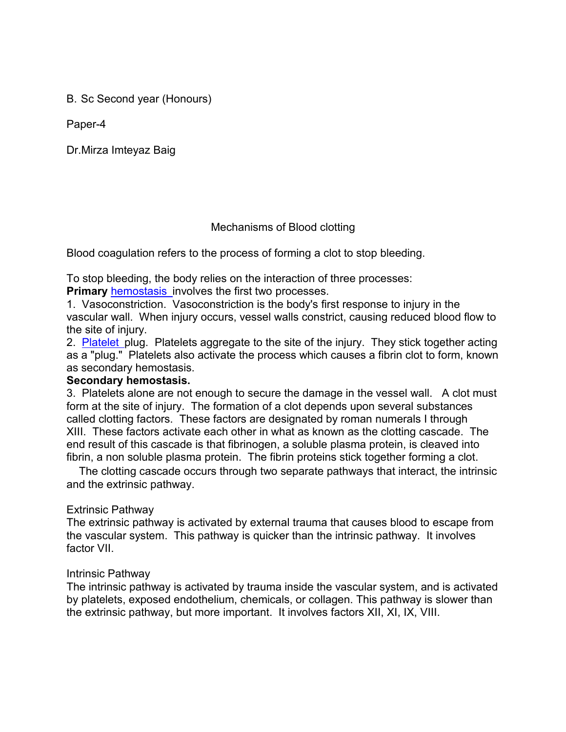B. Sc Second year (Honours)

Paper-4

Dr.Mirza Imteyaz Baig

## Mechanisms of Blood clotting

Blood coagulation refers to the process of forming a clot to stop bleeding.

To stop bleeding, the body relies on the interaction of three processes:

**Primary** [hemostasis](http://departments.weber.edu/chpweb/medical.htm) [i](http://departments.weber.edu/chpweb/medical.htm)nvolves the first two processes.

1. Vasoconstriction. Vasoconstriction is the body's first response to injury in the vascular wall. When injury occurs, vessel walls constrict, causing reduced blood flow to the site of injury.

2. [Platelet](http://departments.weber.edu/chpweb/medical.htm) plug. Platelets aggregate to the site of the injury. They stick together acting as a "plug." Platelets also activate the process which causes a fibrin clot to form, known as secondary hemostasis.

### **Secondary hemostasis.**

3. Platelets alone are not enough to secure the damage in the vessel wall. A clot must form at the site of injury. The formation of a clot depends upon several substances called clotting factors. These factors are designated by roman numerals I through XIII. These factors activate each other in what as known as the clotting cascade. The end result of this cascade is that fibrinogen, a soluble plasma protein, is cleaved into fibrin, a non soluble plasma protein. The fibrin proteins stick together forming a clot.

The clotting cascade occurs through two separate pathways that interact, the intrinsic and the extrinsic pathway.

## Extrinsic Pathway

The extrinsic pathway is activated by external trauma that causes blood to escape from the vascular system. This pathway is quicker than the intrinsic pathway. It involves factor VII.

### Intrinsic Pathway

The intrinsic pathway is activated by trauma inside the vascular system, and is activated by platelets, exposed endothelium, chemicals, or collagen. This pathway is slower than the extrinsic pathway, but more important. It involves factors XII, XI, IX, VIII.